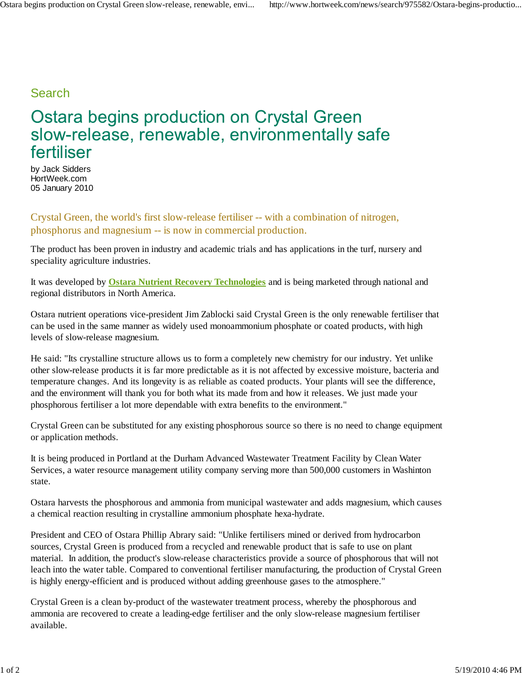## Search

## **Ostara begins production on Crystal Green** slow-release, renewable, environmentally safe fertiliser

by Jack Sidders HortWeek.com 05 January 2010

Crystal Green, the world's first slow-release fertiliser -- with a combination of nitrogen, phosphorus and magnesium -- is now in commercial production.

The product has been proven in industry and academic trials and has applications in the turf, nursery and speciality agriculture industries.

It was developed by **Ostara Nutrient Recovery Technologies** and is being marketed through national and regional distributors in North America.

Ostara nutrient operations vice-president Jim Zablocki said Crystal Green is the only renewable fertiliser that can be used in the same manner as widely used monoammonium phosphate or coated products, with high levels of slow-release magnesium.

He said: "Its crystalline structure allows us to form a completely new chemistry for our industry. Yet unlike other slow-release products it is far more predictable as it is not affected by excessive moisture, bacteria and temperature changes. And its longevity is as reliable as coated products. Your plants will see the difference, and the environment will thank you for both what its made from and how it releases. We just made your phosphorous fertiliser a lot more dependable with extra benefits to the environment."

Crystal Green can be substituted for any existing phosphorous source so there is no need to change equipment or application methods.

It is being produced in Portland at the Durham Advanced Wastewater Treatment Facility by Clean Water Services, a water resource management utility company serving more than 500,000 customers in Washinton state.

Ostara harvests the phosphorous and ammonia from municipal wastewater and adds magnesium, which causes a chemical reaction resulting in crystalline ammonium phosphate hexa-hydrate.

President and CEO of Ostara Phillip Abrary said: "Unlike fertilisers mined or derived from hydrocarbon sources, Crystal Green is produced from a recycled and renewable product that is safe to use on plant material. In addition, the product's slow-release characteristics provide a source of phosphorous that will not leach into the water table. Compared to conventional fertiliser manufacturing, the production of Crystal Green is highly energy-efficient and is produced without adding greenhouse gases to the atmosphere."

Crystal Green is a clean by-product of the wastewater treatment process, whereby the phosphorous and ammonia are recovered to create a leading-edge fertiliser and the only slow-release magnesium fertiliser available.